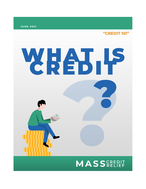**JUNE 2021** 

"CREDIT 101"

# WHAT P **MASS**CREDIT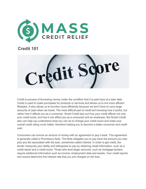

# **Credit 101**

it Score

Credit is process of borrowing money under the condition that it is paid back at a later date. Credit is used to make purchases for products or services and allows us to live more affluent lifestyles. It also allows us to function more efficiently because we don't have to carry large amounts of cash when we travel. The most difficult part of credit isn't knowing how it works, but rather how it affects you as a consumer. Smart Credit lays out how your credit affects not only your credit score, but how it can affect you as a consumer and an employee. But Smart Credit also can help you understand what you can do to change your credit score and make your overall credit rating much better, therefore helping you to become a better consumer and credit user.

Consumers can borrow an amount of money with an agreement to pay it back. This agreement is generally called a Promissory Note. The Note obligates you to pay back the amount you owe plus any fee associated with the loan, sometimes called interest. In order to get credit, the lender measures your ability and willingness to pay by obtaining credit information, such as a credit report and a credit score. Those who lend larger amounts, such as mortgage lenders, require additional information such as income, employment data and assets. Your credit reports and scores determine the interest rate that you are charged on the loan.